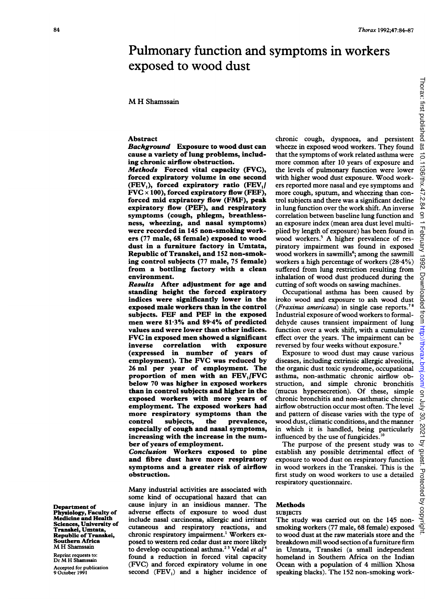# Pulmonary function and symptoms in workers exposed to wood dust

# M H Shamssain

## Abstract

Background Exposure to wood dust can cause a variety of lung problems, including chronic airflow obstruction.

Methods Forced vital capacity (FVC), forced expiratory volume in one second (FEV,), forced expiratory ratio (FEV,/  $FVC \times 100$ ), forced expiratory flow (FEF), forced mid expiratory flow (FMF), peak expiratory flow (PEF), and respiratory symptoms (cough, phlegm, breathlessness, wheezing, and nasal symptoms) were recorded in 145 non-smoking workers (77 male, 68 female) exposed to wood dust in a furniture factory in Umtata, Republic of Transkei, and 152 non-smoking control subjects (77 male, 75 female) from a bottling factory with a clean environment.

Results After adjustment for age and standing height the forced expiratory indices were significantly lower in the exposed male workers than in the control subjects. FEF and PEF in the exposed men were 81-3% and 89-4% of predicted values and were lower than other indices. FVC in exposed men showed a significant<br>inverse correlation with exposure correlation (expressed in number of years of employment). The FVC was reduced by 26 ml per year of employment. The proportion of men with an FEV,/FVC below 70 was higher in exposed workers than in control subjects and higher in the exposed workers with more years of employment. The exposed workers had more respiratory symptoms than the<br>control subjects, the prevalence, control subjects, the prevalence, especially of cough and nasal symptoms, increasing with the increase in the number of years of employment.

Conclusion Workers exposed to pine and fibre dust have more respiratory symptoms and a greater risk of airflow obstruction.

Many industrial activities are associated with some kind of occupational hazard that can cause injury in an insidious manner. The adverse effects of exposure to wood dust include nasal carcinoma, allergic and irritant cutaneous and respiratory reactions, and chronic respiratory impairment.' Workers exposed to westem red cedar dust are more likely to develop occupational asthma.<sup>23</sup> Vedal et  $aI<sup>4</sup>$ found a reduction in forced vital capacity (FVC) and forced expiratory volume in one second (FEV,) and a higher incidence of chronic cough, dyspnoea, and persistent wheeze in exposed wood workers. They found that the symptoms of work related asthma were more common after 10 years of exposure and the levels of pulmonary function were lower with higher wood dust exposure. Wood workers reported more nasal and eye symptoms and more cough, sputum, and wheezing than control subjects and there was a significant decline in lung function over the work shift. An inverse correlation between baseline lung function and an exposure index (mean area dust level multiplied by length of exposure) has been found in wood workers.<sup>5</sup> A higher prevalence of respiratory impairment was found in exposed wood workers in sawmills<sup>6</sup>; among the sawmill workers a high percentage of workers  $(28.4\%)$ suffered from lung restriction resulting from inhalation of wood dust produced during the cutting of soft woods on sawing machines.

Occupational asthma has been caused by iroko wood and exposure to ash wood dust (Fraxinus americana) in single case reports.<sup>78</sup> Industrial exposure ofwood workers to formaldehyde causes transient impairment of lung function over a work shift, with a cumulative effect over the years. The impairment can be reversed by four weeks without exposure.<sup>9</sup>

Exposure to wood dust may cause various diseases, including extrinsic allergic alveolitis, the organic dust toxic syndrome, occupational asthma, non-asthmatic chronic airflow obstruction, and simple chronic bronchitis (mucus hypersecretion). Of these, simple chronic bronchitis and non-asthmatic chronic airflow obstruction occur most often. The level and pattern of disease varies with the type of wood dust, climatic conditions, and the manner in which it is handled, being particularly influenced by the use of fungicides.<sup>10</sup>

The purpose of the present study was to establish any possible detrimental effect of exposure to wood dust on respiratory function in wood workers in the Transkei. This is the first study on wood workers to use a detailed respiratory questionnaire.

#### Methods SUBJECTS

The study was carried out on the 145 nonsmoking workers (77 male, 68 female) exposed to wood dust at the raw materials store and the breakdown mill wood section of a furniture firm in Umtata, Transkei (a small independent homeland in Southern Africa on the Indian Ocean with a population of 4 million Xhosa speaking blacks). The 152 non-smoking work-

Department of Physiology, Faculty of Medicine and Health Sciences, University of Transkei, Umtata, Republic of Transkei, Southern Africa M H Shamssain

Reprint requests to: Dr M H Shamssain

Accepted for publication 9 October 1991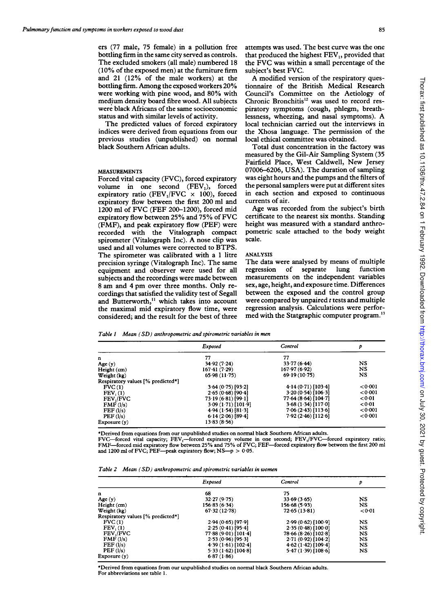ers (77 male, 75 female) in a pollution free bottling firm in the same city served as controls. The excluded smokers (all male) numbered 18 (10% of the exposed men) at the furniture firm and 21 (12% of the male workers) at the bottling firm. Among the exposed workers 20% were working with pine wood, and 80% with medium density board fibre wood. All subjects were black Africans of the same socioeconomic status and with similar levels of activity.

The predicted values of forced expiratory indices were derived from equations from our previous studies (unpublished) on normal black Southern African adults.

# MEASUREMENTS

Forced vital capacity (FVC), forced expiratory volume in one second (FEV,), forced expiratory ratio (FEV<sub>1</sub>/FVC  $\times$  100), forced expiratory flow between the first 200 ml and <sup>1200</sup> ml of FVC (FEF 200-1200), forced mid expiratory flow between 25% and 75% of FVC (FMF), and peak expiratory flow (PEF) were recorded with the Vitalograph compact spirometer (Vitalograph Inc). A nose clip was used and all volumes were corrected to BTPS. The spirometer was calibrated with a <sup>1</sup> litre precision syringe (Vitalograph Inc). The same equipment and observer were used for all subjects and the recordings were made between <sup>8</sup> am and 4 pm over three months. Only recordings that satisfied the validity test of Segall and Butterworth,<sup>11</sup> which takes into account the maximal mid expiratory flow time, were considered; and the result for the best of three

A modified version of the respiratory questionnaire of the British Medical Research Council's Committee on the Aetiology of Chronic Bronchitis<sup>12</sup> was used to record respiratory symptoms (cough, phlegm, breathlessness, wheezing, and nasal symptoms). A local technician carried out the interviews in the Xhosa language. The permission of the local ethical committee was obtained.

Total dust concentration in the factory was measured by the Gil-Air Sampling System (35 Fairfield Place, West Caldwell, New Jersey 07006-6206, USA). The duration of sampling was eight hours and the pumps and the filters of the personal samplers were put at different sites in each section and exposed to continuous currents of air.

Age was recorded from the subject's birth certificate to the nearest six months. Standing height was measured with a standard anthropometric scale attached to the body weight scale.

#### ANALYSIS

The data were analysed by means of multiple regression of separate lung function measurements on the independent variables sex, age, height, and exposure time. Differences between the exposed and the control group were compared by unpaired  $t$  tests and multiple regression analysis. Calculations were performed with the Statgraphic computer program.<sup>13</sup>

|  |  |  | Table 1 Mean (SD) anthropometric and spirometric variables in men |  |  |  |  |  |
|--|--|--|-------------------------------------------------------------------|--|--|--|--|--|
|--|--|--|-------------------------------------------------------------------|--|--|--|--|--|

|                                   | Exposed             | Control              | p       |
|-----------------------------------|---------------------|----------------------|---------|
| n                                 | 77                  | 77                   |         |
| Age $(y)$                         | 34 92 (7 24)        | 33.77(6.44)          | NS      |
| Height (cm)                       | 167.41(7.29)        | 167.97(6.92)         | NS      |
| Weight (kg)                       | 65.98(11.75)        | 69.19(10.75)         | NS      |
| Respiratory values [% predicted*] |                     |                      |         |
| FVC(1)                            | $3.64(0.75)$ [93.2] | 4.14(0.71)[103.4]    | 0001    |
| FEV <sub>1</sub> (1)              | 2.65(0.68)[90.4]    | 3.20(0.54)[106.3]    | < 0.001 |
| <b>FEV,/FVC</b>                   | 73.19(6.81)[99.1]   | 77.64(8.64)[104.7]   | < 0.01  |
| $\mathbf{FMF}$ (l/s)              | 3.09(1.71)[101.9]   | 3.68(1.34)[117.0]    | < 0.01  |
| FEF(l/s)                          | 4.94(1.54)[81.3]    | $7.06(2.43)$ [113.6] | < 0.001 |
| PEF(1/s)                          | 6.14(2.06)[89.4]    | $7.92(2.46)$ [112.6] | < 0.001 |
| Exposure(y)                       | 13.83(8.56)         |                      |         |

\*Derived from equations from our unpublished studies on normal black Southern African adults.

FVC—forced vital capacity; FEV<sub>I</sub>—forced expiratory volume in one second; FEV<sub>I</sub>/FVC—forced expiratory ratio;<br>FMF—forced mid expiratory flow between 25% and 75% of FVC; FEF—forced expiratory flow between the first 200 ml and 1200 ml of FVC; PEF-peak expiratory flow;  $NS-p > 0.05$ .

|  | Table 2 Mean (SD) anthropometric and spirometric variables in women |  |  |
|--|---------------------------------------------------------------------|--|--|
|  |                                                                     |  |  |

|                                   | Exposed             | Control              | Þ           |
|-----------------------------------|---------------------|----------------------|-------------|
| n                                 | 68                  | 75                   |             |
| Age(y)                            | 32.27(9.75)         | 33 69 (3 65)         | NS          |
| Height (cm)                       | 156.83(6.34)        | 156-68 (5-93)        | <b>NS</b>   |
| Weight (kg)                       | 67.32(12.78)        | 72.65(13.81)         | < 0.01      |
| Respiratory values [% predicted*] |                     |                      |             |
| FVC(1)                            | $2.94(0.65)$ [97.9] | 2.99(0.62)[100.9]    | NS          |
| FEV <sub>1</sub> (1)              | $2.25(0.41)$ [95.4] | 2 35 (0 48) [100 0]  | $_{\rm NS}$ |
| FEV,/FVC                          | 77.88(9.01)[101.4]  | 78.66(8.26)[102.8]   | <b>NS</b>   |
| $\mathbf{FMF}$ (l/s)              | $2.53(0.96)$ [95.3] | $2.71(0.92)$ [104.2] | NS          |
| FEF(1/s)                          | 4.39(1.61)[102.4]   | 4.62(1.42)[109.4]    | <b>NS</b>   |
| PEF(I/s)                          | 5.33(1.62)[104.8]   | 5.47(1.39)[108.6]    | <b>NS</b>   |
| Exposure(y)                       | 6.87(1.86)          |                      |             |

\*Derived from equations from our unpublished studies on normal black Southern African adults. For abbreviations see table 1.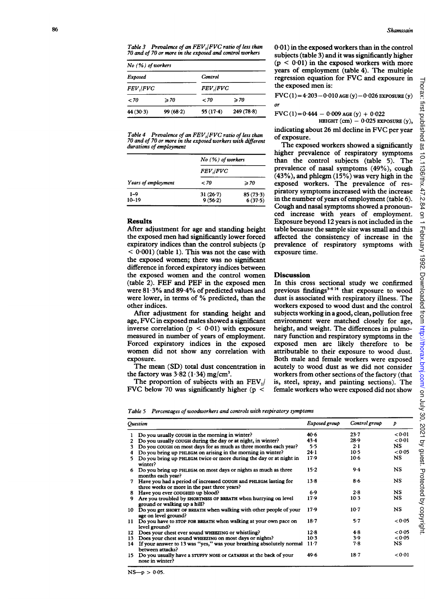Table 3 Prevalence of an FEV<sub>I</sub>|FVC ratio of less than 70 and of 70 or more in the exposed and control workers

| $No$ (%) of workers |                |                  |                |  |  |
|---------------------|----------------|------------------|----------------|--|--|
| Control<br>Exposed  |                |                  |                |  |  |
| <b>FEV</b> , FVC    |                | <b>FEV</b> , FVC |                |  |  |
| < 70                | $\geqslant 70$ | - 70             | $\geqslant 70$ |  |  |
| 44(30.3)            | 99(68.2)       | 55(17.4)         | 249(78.8)      |  |  |

Table 4 Prevalence of an FEV,/FVC ratio of less than 70 and of 70 or more in the exposed workers with different durations of employment

|                      | $No$ (%) of workers   |                     |  |  |
|----------------------|-----------------------|---------------------|--|--|
|                      | <b>FEV, FVC</b>       |                     |  |  |
| Years of employment  | < 70                  | $\geqslant 70$      |  |  |
| $1 - 9$<br>$10 - 19$ | $31(26-7)$<br>9(56.2) | 85(73.3)<br>6(37.5) |  |  |

# Results

After adjustment for age and standing height the exposed men had significantly lower forced expiratory indices than the control subjects (p  $< 0.001$ ) (table 1). This was not the case with the exposed women; there was no significant difference in forced expiratory indices between the exposed women and the control women (table 2). FEF and PEF in the exposed men were 81-3% and 89-4% of predicted values and were lower, in terms of % predicted, than the other indices.

After adjustment for standing height and age, FVC in exposed males showed a significant inverse correlation  $(p < 0.01)$  with exposure measured in number of years of employment. Forced expiratory indices in the exposed women did not show any correlation with exposure.

The mean (SD) total dust concentration in the factory was  $3.82$  (1.34) mg/cm<sup>3</sup>.

The proportion of subjects with an  $FEV<sub>1</sub>/$ FVC below 70 was significantly higher ( $p \leq$ 

0-01) in the exposed workers than in the control subjects (table 3) and it was significantly higher  $(p < 0.01)$  in the exposed workers with more years of employment (table 4). The multiple regression equation for FVC and exposure in the exposed men is:

 $FVC(1) = 4.203 - 0.010$  AGE  $(y) - 0.026$  EXPOSURE  $(y)$ 

FVC (1)=0-444 -0-009 AGE (y) + 0-022

HEIGHT  $(cm) - 0.025$  EXPOSURE  $(y)$ ,

indicating about 26 ml decline in FVC per year of exposure.

The exposed workers showed a significantly higher prevalence of respiratory symptoms than the control subjects (table 5). The prevalence of nasal symptoms (49%), cough (43%), and phlegm (15%) was very high in the exposed workers. The prevalence of respiratory symptoms increased with the increase in the number of years of employment (table 6). Cough and nasal symptoms showed a pronounced increase with years of employment. Exposure beyond 12 years is not included in the table because the sample size was small and this affected the consistency of increase in the prevalence of respiratory symptoms with exposure time.

### Discussion

or

In this cross sectional study we confirmed previous findings $3-614$  that exposure to wood dust is associated with respiratory illness. The workers exposed to wood dust and the control subjects working in a good, clean, pollution free environment were matched closely for age, height, and weight. The differences in pulmonary function and respiratory symptoms in the exposed men are likely therefore to be attributable to their exposure to wood dust. Both male and female workers were exposed acutely to wood dust as we did not consider workers from other sections of the factory (that is, steel, spray, and painting sections). The female workers who were exposed did not show

|  |  | Table 5 Percentages of woodworkers and controls with respiratory symptoms |  |  |  |
|--|--|---------------------------------------------------------------------------|--|--|--|
|--|--|---------------------------------------------------------------------------|--|--|--|

|     | <b>Ouestion</b>                                                                                                 | Exposed group | Control group | Þ         |
|-----|-----------------------------------------------------------------------------------------------------------------|---------------|---------------|-----------|
|     | Do you usually COUGH in the morning in winter?                                                                  | $40-6$        | 23.7          | < 0.01    |
| 2   | Do you usually COUGH during the day or at night, in winter?                                                     | 43.4          | $28-9$        | < 0.01    |
| 3   | Do you cough on most days for as much as three months each year?                                                | 5.5           | $2 \cdot 1$   | NS.       |
| 4   | Do you bring up PHLEGM on arising in the morning in winter?                                                     | 24.1          | $10-5$        | < 0.05    |
| 5.  | Do you bring up PHLEGM twice or more during the day or at night in<br>winter?                                   | 17.9          | $10-6$        | <b>NS</b> |
| 6   | Do you bring up PHLEGM on most days or nights as much as three<br>months each year?                             | 15.2          | $9-4$         | NS.       |
| 7   | Have you had a period of increased COUGH and PHLEGM lasting for<br>three weeks or more in the past three years? | $13-8$        | 8.6           | NS.       |
| 8   | Have you ever COUGHED up blood?                                                                                 | 6.9           | 2.8           | NS.       |
| 9   | Are you troubled by SHORTNESS OF BREATH when hurrying on level<br>ground or walking up a hill?                  | 17.9          | 10.3          | <b>NS</b> |
| 10  | Do you get SHORT OF BREATH when walking with other people of your<br>age on level ground?                       | 17.9          | $10-7$        | <b>NS</b> |
| 11  | Do you have to stop for BREATH when walking at your own pace on<br>level ground?                                | 18.7          | 5.7           | < 0.05    |
| 12  | Does your chest ever sound WHEEZING or whistling?                                                               | 12.8          | 4.8           | < 0.05    |
| 13  | Does your chest sound WHEEZING on most days or nights?                                                          | 10.3          | 3.9           | < 0.05    |
| 14  | If your answer to 13 was "yes," was your breathing absolutely normal<br>between attacks?                        | $11-7$        | 7.8           | NS.       |
| 15. | Do you usually have a STUFFY NOSE or CATARRH at the back of your<br>nose in winter?                             | 49.6          | 18.7          | < 0.01    |

 $NS-p > 0.05$ .